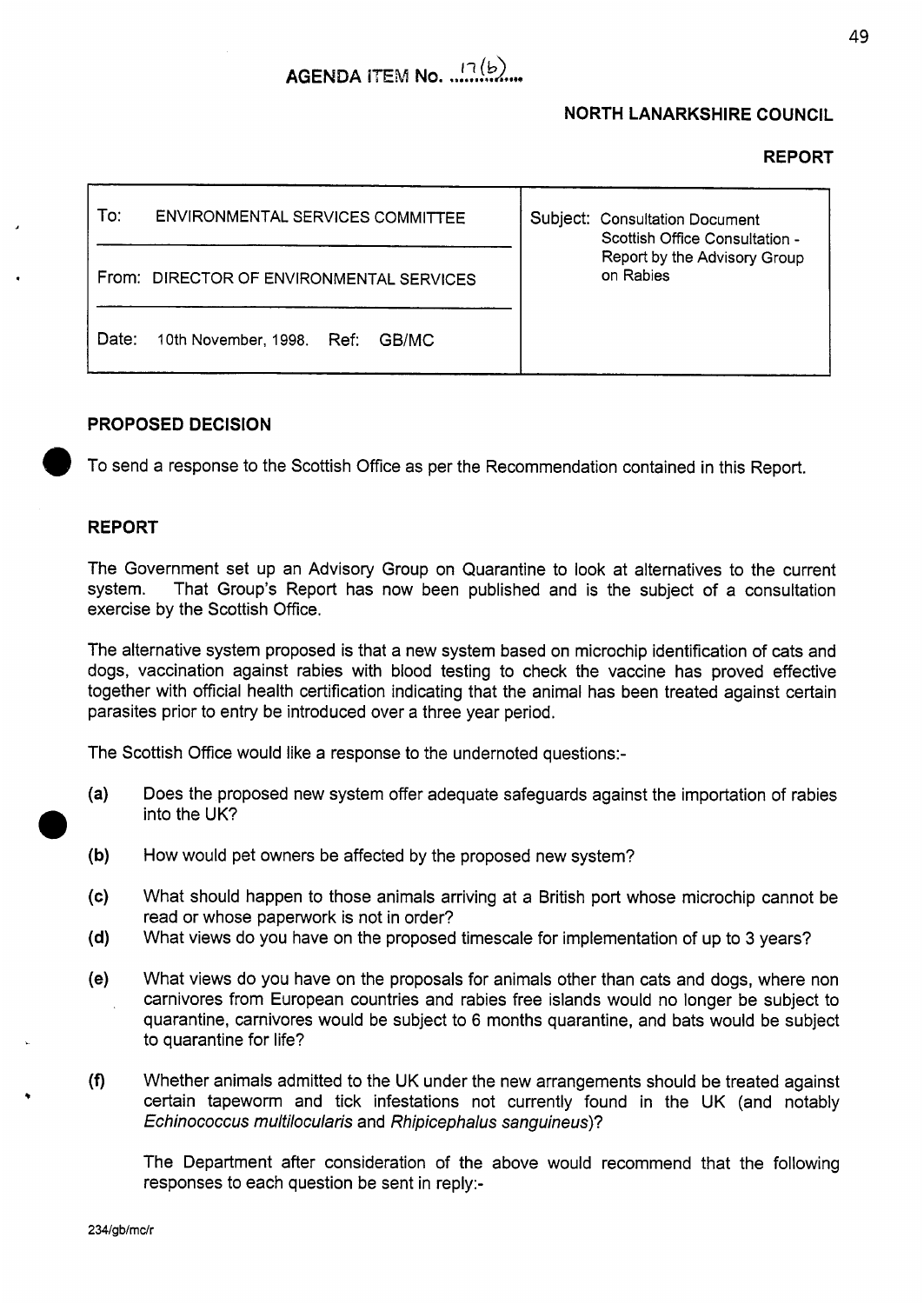

# **NORTH LANARKSHIRE COUNCIL**

#### **REPORT**



# **PROPOSED DECISION**

To send a response to the Scottish Office as per the Recommendation contained in this Report.

### **REPORT**

The Government set up an Advisory Group on Quarantine to look at alternatives to the current system. That Group's Report has now been published and is the subject of a consultation exercise by the Scottish Office.

The alternative system proposed is that a new system based on microchip identification of cats and dogs, vaccination against rabies with blood testing to check the vaccine has proved effective together with official health certification indicating that the animal has been treated against certain parasites prior to entry be introduced over a three year period.

The Scottish Office would like a response to the undernoted questions:-

- $(a)$ Does the proposed new system offer adequate safeguards against the importation of rabies into the UK?
- $(b)$ How would pet owners be affected by the proposed new system?
- What should happen to those animals arriving at a British port whose microchip cannot be  $(c)$ read or whose paperwork is not in order?
- $(d)$ What views do you have on the proposed timescale for implementation of up to 3 years?
- $(e)$ What views do you have on the proposals for animals other than cats and dogs, where non carnivores from European countries and rabies free islands would no longer be subject to quarantine, carnivores would be subject to 6 months quarantine, and bats would be subject to quarantine for life?
- $(f)$ Whether animals admitted to the UK under the new arrangements should be treated against certain tapeworm and tick infestations not currently found in the UK (and notably *Echinococcus multilocularis* and *Rhipicephalus sanguineus)?*

The Department after consideration of the above would recommend that the following responses to each question be sent in reply:-